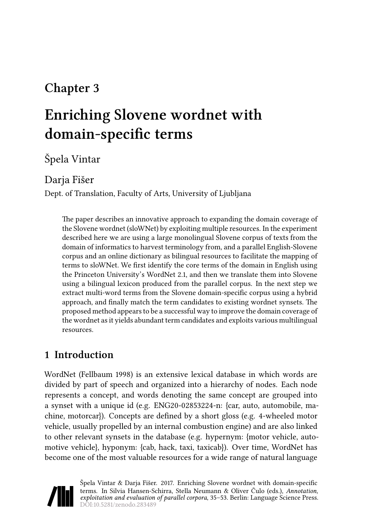# **Chapter 3**

# **Enriching Slovene wordnet with domain-specific terms**

# Špela Vintar

### Darja Fišer

Dept. of Translation, Faculty of Arts, University of Ljubljana

The paper describes an innovative approach to expanding the domain coverage of the Slovene wordnet (sloWNet) by exploiting multiple resources. In the experiment described here we are using a large monolingual Slovene corpus of texts from the domain of informatics to harvest terminology from, and a parallel English-Slovene corpus and an online dictionary as bilingual resources to facilitate the mapping of terms to sloWNet. We first identify the core terms of the domain in English using the Princeton University's WordNet 2.1, and then we translate them into Slovene using a bilingual lexicon produced from the parallel corpus. In the next step we extract multi-word terms from the Slovene domain-specific corpus using a hybrid approach, and finally match the term candidates to existing wordnet synsets. The proposed method appears to be a successful way to improve the domain coverage of the wordnet as it yields abundant term candidates and exploits various multilingual resources.

# **1 Introduction**

WordNet([Fellbaum 1998\)](#page-15-0) is an extensive lexical database in which words are divided by part of speech and organized into a hierarchy of nodes. Each node represents a concept, and words denoting the same concept are grouped into a synset with a unique id (e.g. ENG20-02853224-n: {car, auto, automobile, machine, motorcar}). Concepts are defined by a short gloss (e.g. 4-wheeled motor vehicle, usually propelled by an internal combustion engine) and are also linked to other relevant synsets in the database (e.g. hypernym: {motor vehicle, automotive vehicle}, hyponym: {cab, hack, taxi, taxicab}). Over time, WordNet has become one of the most valuable resources for a wide range of natural language

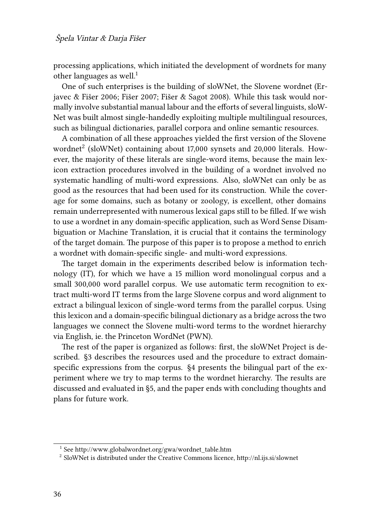processing applications, which initiated the development of wordnets for many other languages as well. $1$ 

One of such enterprises is the building of sloWNet, the Slovene wordnet([Er](#page-15-1)[javec & Fišer 2006](#page-15-1); [Fišer 2007;](#page-15-2) [Fišer & Sagot 2008](#page-15-3)). While this task would normally involve substantial manual labour and the efforts of several linguists, sloW-Net was built almost single-handedly exploiting multiple multilingual resources, such as bilingual dictionaries, parallel corpora and online semantic resources.

A combination of all these approaches yielded the first version of the Slovene wordnet<sup>2</sup> (sloWNet) containing about 17,000 synsets and 20,000 literals. However, the majority of these literals are single-word items, because the main lexicon extraction procedures involved in the building of a wordnet involved no systematic handling of multi-word expressions. Also, sloWNet can only be as good as the resources that had been used for its construction. While the coverage for some domains, such as botany or zoology, is excellent, other domains remain underrepresented with numerous lexical gaps still to be filled. If we wish to use a wordnet in any domain-specific application, such as Word Sense Disambiguation or Machine Translation, it is crucial that it contains the terminology of the target domain. The purpose of this paper is to propose a method to enrich a wordnet with domain-specific single- and multi-word expressions.

The target domain in the experiments described below is information technology (IT), for which we have a 15 million word monolingual corpus and a small 300,000 word parallel corpus. We use automatic term recognition to extract multi-word IT terms from the large Slovene corpus and word alignment to extract a bilingual lexicon of single-word terms from the parallel corpus. Using this lexicon and a domain-specific bilingual dictionary as a bridge across the two languages we connect the Slovene multi-word terms to the wordnet hierarchy via English, ie. the Princeton WordNet (PWN).

The rest of the paper is organized as follows: first, the sloWNet Project is described. [§3](#page-4-0) describes the resources used and the procedure to extract domainspecific expressions from the corpus. [§4](#page-9-0) presents the bilingual part of the experiment where we try to map terms to the wordnet hierarchy. The results are discussed and evaluated in §[5,](#page-11-0) and the paper ends with concluding thoughts and plans for future work.

<sup>1</sup> See [http://www.globalwordnet.org/gwa/wordnet\\_table.htm](http://www.globalwordnet.org/gwa/wordnet_table.htm)

 $^2$  SloWNet is distributed under the Creative Commons licence, http://nl.ijs.si/slownet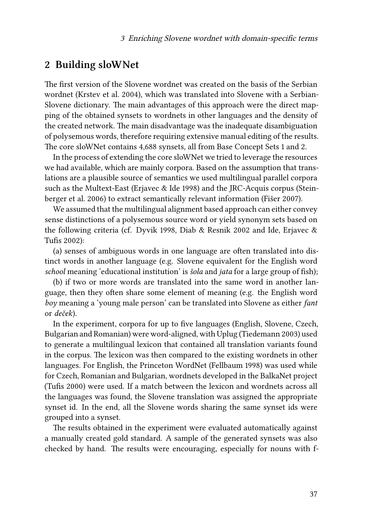### **2 Building sloWNet**

The first version of the Slovene wordnet was created on the basis of the Serbian wordnet [\(Krstev et al. 2004\)](#page-16-0), which was translated into Slovene with a Serbian-Slovene dictionary. The main advantages of this approach were the direct mapping of the obtained synsets to wordnets in other languages and the density of the created network. The main disadvantage was the inadequate disambiguation of polysemous words, therefore requiring extensive manual editing of the results. The core sloWNet contains 4,688 synsets, all from Base Concept Sets 1 and 2.

In the process of extending the core sloWNet we tried to leverage the resources we had available, which are mainly corpora. Based on the assumption that translations are a plausible source of semantics we used multilingual parallel corpora such as the Multext-East([Erjavec & Ide 1998](#page-15-4)) and the JRC-Acquis corpus [\(Stein](#page-16-1)[berger et al. 2006\)](#page-16-1) to extract semantically relevant information([Fišer 2007\)](#page-15-2).

We assumed that the multilingual alignment based approach can either convey sense distinctions of a polysemous source word or yield synonym sets based on the following criteria (cf. [Dyvik 1998](#page-15-5), [Diab & Resnik 2002](#page-15-6) and [Ide, Erjavec &](#page-16-2) [Tufis 2002\)](#page-16-2):

(a) senses of ambiguous words in one language are often translated into distinct words in another language (e.g. Slovene equivalent for the English word *school* meaning 'educational institution' is *šola* and *jata* for a large group of fish);

(b) if two or more words are translated into the same word in another language, then they often share some element of meaning (e.g. the English word *boy* meaning a 'young male person' can be translated into Slovene as either *fant* or *deček*).

In the experiment, corpora for up to five languages (English, Slovene, Czech, Bulgarian and Romanian) were word-aligned, with Uplug([Tiedemann 2003\)](#page-17-0) used to generate a multilingual lexicon that contained all translation variants found in the corpus. The lexicon was then compared to the existing wordnets in other languages. For English, the Princeton WordNet([Fellbaum 1998\)](#page-15-0) was used while for Czech, Romanian and Bulgarian, wordnets developed in the BalkaNet project [\(Tufis 2000\)](#page-17-1) were used. If a match between the lexicon and wordnets across all the languages was found, the Slovene translation was assigned the appropriate synset id. In the end, all the Slovene words sharing the same synset ids were grouped into a synset.

The results obtained in the experiment were evaluated automatically against a manually created gold standard. A sample of the generated synsets was also checked by hand. The results were encouraging, especially for nouns with f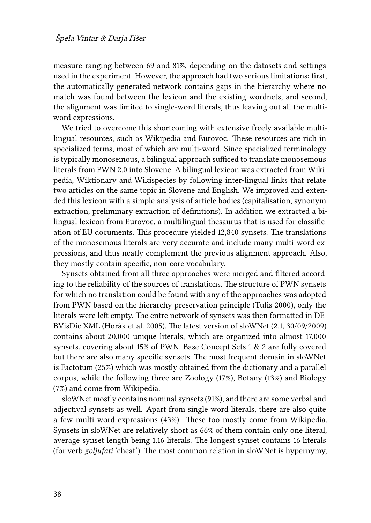measure ranging between 69 and 81%, depending on the datasets and settings used in the experiment. However, the approach had two serious limitations: first, the automatically generated network contains gaps in the hierarchy where no match was found between the lexicon and the existing wordnets, and second, the alignment was limited to single-word literals, thus leaving out all the multiword expressions.

We tried to overcome this shortcoming with extensive freely available multilingual resources, such as Wikipedia and Eurovoc. These resources are rich in specialized terms, most of which are multi-word. Since specialized terminology is typically monosemous, a bilingual approach sufficed to translate monosemous literals from PWN 2.0 into Slovene. A bilingual lexicon was extracted from Wikipedia, Wiktionary and Wikispecies by following inter-lingual links that relate two articles on the same topic in Slovene and English. We improved and extended this lexicon with a simple analysis of article bodies (capitalisation, synonym extraction, preliminary extraction of definitions). In addition we extracted a bilingual lexicon from Eurovoc, a multilingual thesaurus that is used for classification of EU documents. This procedure yielded 12,840 synsets. The translations of the monosemous literals are very accurate and include many multi-word expressions, and thus neatly complement the previous alignment approach. Also, they mostly contain specific, non-core vocabulary.

Synsets obtained from all three approaches were merged and filtered according to the reliability of the sources of translations. The structure of PWN synsets for which no translation could be found with any of the approaches was adopted from PWN based on the hierarchy preservation principle [\(Tufis 2000](#page-17-1)), only the literals were left empty. The entre network of synsets was then formatted in DE-BVisDic XML([Horák et al. 2005\)](#page-16-3). The latest version of sloWNet (2.1, 30/09/2009) contains about 20,000 unique literals, which are organized into almost 17,000 synsets, covering about 15% of PWN. Base Concept Sets 1 & 2 are fully covered but there are also many specific synsets. The most frequent domain in sloWNet is Factotum (25%) which was mostly obtained from the dictionary and a parallel corpus, while the following three are Zoology (17%), Botany (13%) and Biology (7%) and come from Wikipedia.

sloWNet mostly contains nominal synsets (91%), and there are some verbal and adjectival synsets as well. Apart from single word literals, there are also quite a few multi-word expressions (43%). These too mostly come from Wikipedia. Synsets in sloWNet are relatively short as 66% of them contain only one literal, average synset length being 1.16 literals. The longest synset contains 16 literals (for verb *goljufati* 'cheat'). The most common relation in sloWNet is hypernymy,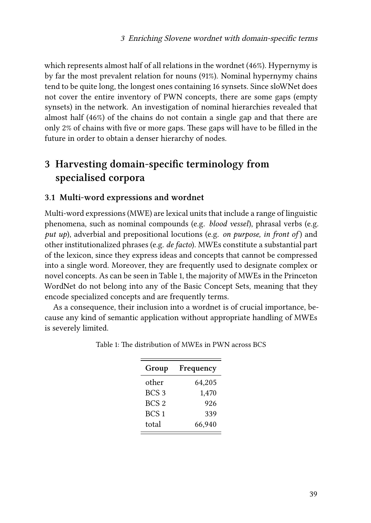which represents almost half of all relations in the wordnet (46%). Hypernymy is by far the most prevalent relation for nouns (91%). Nominal hypernymy chains tend to be quite long, the longest ones containing 16 synsets. Since sloWNet does not cover the entire inventory of PWN concepts, there are some gaps (empty synsets) in the network. An investigation of nominal hierarchies revealed that almost half (46%) of the chains do not contain a single gap and that there are only 2% of chains with five or more gaps. These gaps will have to be filled in the future in order to obtain a denser hierarchy of nodes.

## <span id="page-4-0"></span>**3 Harvesting domain-specific terminology from specialised corpora**

#### **3.1 Multi-word expressions and wordnet**

Multi-word expressions (MWE) are lexical units that include a range of linguistic phenomena, such as nominal compounds (e.g. *blood vessel*), phrasal verbs (e.g. *put up*), adverbial and prepositional locutions (e.g. *on purpose, in front of* ) and other institutionalized phrases (e.g. *de facto*). MWEs constitute a substantial part of the lexicon, since they express ideas and concepts that cannot be compressed into a single word. Moreover, they are frequently used to designate complex or novel concepts. As can be seen in Table [1,](#page-4-1) the majority of MWEs in the Princeton WordNet do not belong into any of the Basic Concept Sets, meaning that they encode specialized concepts and are frequently terms.

<span id="page-4-1"></span>As a consequence, their inclusion into a wordnet is of crucial importance, because any kind of semantic application without appropriate handling of MWEs is severely limited.

| Group            | Frequency |
|------------------|-----------|
| other            | 64,205    |
| BCS <sub>3</sub> | 1,470     |
| BCS <sub>2</sub> | 926       |
| BCS <sub>1</sub> | 339       |
| total            | 66,940    |

Table 1: The distribution of MWEs in PWN across BCS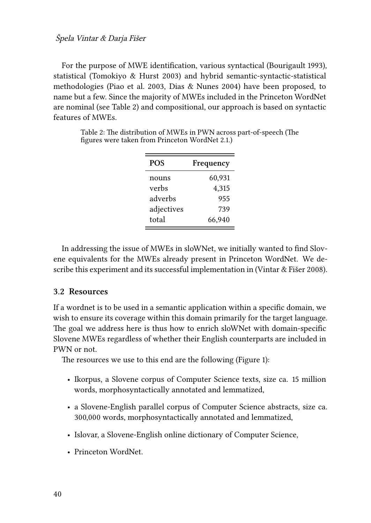For the purpose of MWE identification, various syntactical([Bourigault 1993](#page-14-0)), statistical [\(Tomokiyo & Hurst 2003](#page-17-2)) and hybrid semantic-syntactic-statistical methodologies [\(Piao et al. 2003](#page-16-4), [Dias & Nunes 2004](#page-15-7)) have been proposed, to name but a few. Since the majority of MWEs included in the Princeton WordNet are nominal (see Table [2](#page-5-0)) and compositional, our approach is based on syntactic features of MWEs.

| <b>POS</b> | Frequency |
|------------|-----------|
| nouns      | 60,931    |
| verbs      | 4,315     |
| adverbs    | 955       |
| adjectives | 739       |
| total      | 66,940    |

<span id="page-5-0"></span>Table 2: The distribution of MWEs in PWN across part-of-speech (The figures were taken from Princeton WordNet 2.1.)

In addressing the issue of MWEs in sloWNet, we initially wanted to find Slovene equivalents for the MWEs already present in Princeton WordNet. We describe this experiment and its successful implementation in([Vintar & Fišer 2008\)](#page-17-3).

#### **3.2 Resources**

If a wordnet is to be used in a semantic application within a specific domain, we wish to ensure its coverage within this domain primarily for the target language. The goal we address here is thus how to enrich sloWNet with domain-specific Slovene MWEs regardless of whether their English counterparts are included in PWN or not.

The resources we use to this end are the following (Figure [1\)](#page-6-0):

- Ikorpus, a Slovene corpus of Computer Science texts, size ca. 15 million words, morphosyntactically annotated and lemmatized,
- a Slovene-English parallel corpus of Computer Science abstracts, size ca. 300,000 words, morphosyntactically annotated and lemmatized,
- Islovar, a Slovene-English online dictionary of Computer Science,
- Princeton WordNet.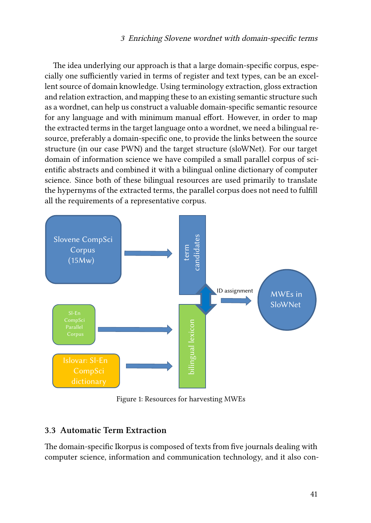The idea underlying our approach is that a large domain-specific corpus, especially one sufficiently varied in terms of register and text types, can be an excellent source of domain knowledge. Using terminology extraction, gloss extraction and relation extraction, and mapping these to an existing semantic structure such as a wordnet, can help us construct a valuable domain-specific semantic resource for any language and with minimum manual effort. However, in order to map the extracted terms in the target language onto a wordnet, we need a bilingual resource, preferably a domain-specific one, to provide the links between the source structure (in our case PWN) and the target structure (sloWNet). For our target domain of information science we have compiled a small parallel corpus of scientific abstracts and combined it with a bilingual online dictionary of computer science. Since both of these bilingual resources are used primarily to translate the hypernyms of the extracted terms, the parallel corpus does not need to fulfill all the requirements of a representative corpus.

<span id="page-6-0"></span>

Figure 1: Resources for harvesting MWEs

#### **3.3 Automatic Term Extraction**

The domain-specific Ikorpus is composed of texts from five journals dealing with computer science, information and communication technology, and it also con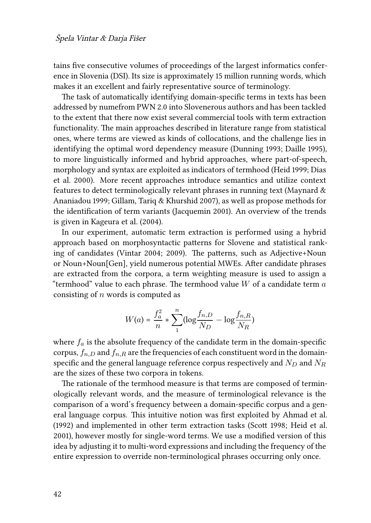tains five consecutive volumes of proceedings of the largest informatics conference in Slovenia (DSI). Its size is approximately 15 million running words, which makes it an excellent and fairly representative source of terminology.

The task of automatically identifying domain-specific terms in texts has been addressed by numefrom PWN 2.0 into Slovenerous authors and has been tackled to the extent that there now exist several commercial tools with term extraction functionality. The main approaches described in literature range from statistical ones, where terms are viewed as kinds of collocations, and the challenge lies in identifying the optimal word dependency measure([Dunning 1993;](#page-15-8) [Daille 1995](#page-14-1)), to more linguistically informed and hybrid approaches, where part-of-speech, morphology and syntax are exploited as indicators of termhood([Heid 1999;](#page-16-5) [Dias](#page-15-9) [et al. 2000\)](#page-15-9). More recent approaches introduce semantics and utilize context features to detect terminologically relevant phrases in running text [\(Maynard &](#page-16-6) [Ananiadou 1999](#page-16-6); [Gillam, Tariq & Khurshid 2007](#page-15-10)), as well as propose methods for the identification of term variants [\(Jacquemin 2001\)](#page-16-7). An overview of the trends is given in [Kageura et al. \(2004\).](#page-16-8)

In our experiment, automatic term extraction is performed using a hybrid approach based on morphosyntactic patterns for Slovene and statistical ranking of candidates [\(Vintar 2004;](#page-17-4) [2009](#page-17-5)). The patterns, such as Adjective+Noun or Noun+Noun[Gen], yield numerous potential MWEs. After candidate phrases are extracted from the corpora, a term weighting measure is used to assign a "termhood" value to each phrase. The termhood value *W* of a candidate term *a* consisting of *n* words is computed as

$$
W(a) = \frac{f_a^2}{n} * \sum_{1}^{n} (\log \frac{f_{n,D}}{N_D} - \log \frac{f_{n,R}}{N_R})
$$

where  $f_a$  is the absolute frequency of the candidate term in the domain-specific corpus,  $f_{n,D}$  and  $f_{n,R}$  are the frequencies of each constituent word in the domainspecific and the general language reference corpus respectively and *N<sup>D</sup>* and *N<sup>R</sup>* are the sizes of these two corpora in tokens.

The rationale of the termhood measure is that terms are composed of terminologically relevant words, and the measure of terminological relevance is the comparison of a word's frequency between a domain-specific corpus and a general language corpus. This intuitive notion was first exploited by [Ahmad et al.](#page-14-2) [\(1992\)](#page-14-2) and implemented in other term extraction tasks [\(Scott 1998;](#page-16-9) [Heid et al.](#page-16-10) [2001](#page-16-10)), however mostly for single-word terms. We use a modified version of this idea by adjusting it to multi-word expressions and including the frequency of the entire expression to override non-terminological phrases occurring only once.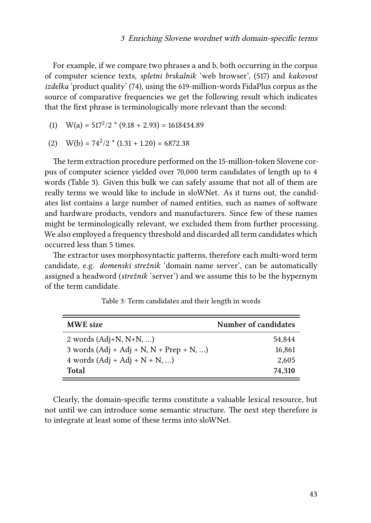For example, if we compare two phrases a and b, both occurring in the corpus of computer science texts, *spletni brskalnik* 'web browser', (517) and *kakovost izdelka* 'product quality' (74), using the 619-million-words FidaPlus corpus as the source of comparative frequencies we get the following result which indicates that the first phrase is terminologically more relevant than the second:

- (1)  $W(a) = 517^2/2$  \*  $(9.18 + 2.93) = 1618434.89$
- (2)  $W(b) = 74^2/2 * (1.31 + 1.20) = 6872.38$

The term extraction procedure performed on the 15-million-token Slovene corpus of computer science yielded over 70,000 term candidates of length up to 4 words (Table [3](#page-8-0)). Given this bulk we can safely assume that not all of them are really terms we would like to include in sloWNet. As it turns out, the candidates list contains a large number of named entities, such as names of software and hardware products, vendors and manufacturers. Since few of these names might be terminologically relevant, we excluded them from further processing. We also employed a frequency threshold and discarded all term candidates which occurred less than 5 times.

The extractor uses morphosyntactic patterns, therefore each multi-word term candidate, e.g. *domenski strežnik* 'domain name server', can be automatically assigned a headword (*strežnik* 'server') and we assume this to be the hypernym of the term candidate.

<span id="page-8-0"></span>

| <b>MWE</b> size                           | Number of candidates |
|-------------------------------------------|----------------------|
| 2 words $(Adj+N, N+N, )$                  | 54.844               |
| 3 words $(Adj + Adj + N, N + Prep + N, )$ | 16,861               |
| 4 words $(Adj + Adj + N + N, )$           | 2,605                |
| Total                                     | 74.310               |

Table 3: Term candidates and their length in words

Clearly, the domain-specific terms constitute a valuable lexical resource, but not until we can introduce some semantic structure. The next step therefore is to integrate at least some of these terms into sloWNet.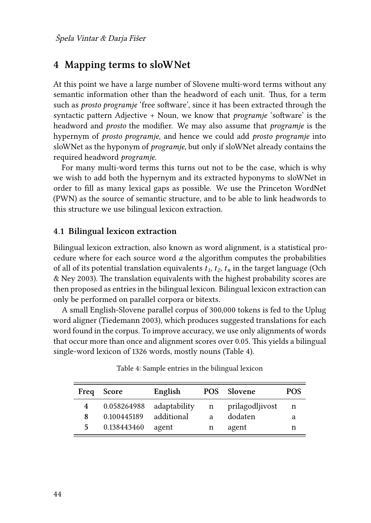### <span id="page-9-0"></span>**4 Mapping terms to sloWNet**

At this point we have a large number of Slovene multi-word terms without any semantic information other than the headword of each unit. Thus, for a term such as *prosto programje* 'free software', since it has been extracted through the syntactic pattern Adjective + Noun, we know that *programje* 'software' is the headword and *prosto* the modifier. We may also assume that *programje* is the hypernym of *prosto programje*, and hence we could add *prosto programje* into sloWNet as the hyponym of *programje*, but only if sloWNet already contains the required headword *programje*.

For many multi-word terms this turns out not to be the case, which is why we wish to add both the hypernym and its extracted hyponyms to sloWNet in order to fill as many lexical gaps as possible. We use the Princeton WordNet (PWN) as the source of semantic structure, and to be able to link headwords to this structure we use bilingual lexicon extraction.

#### **4.1 Bilingual lexicon extraction**

Bilingual lexicon extraction, also known as word alignment, is a statistical procedure where for each source word *a* the algorithm computes the probabilities ofall of its potential translation equivalents  $t_1$ ,  $t_2$ ,  $t_n$  in the target language ([Och](#page-16-11) [& Ney 2003](#page-16-11)). The translation equivalents with the highest probability scores are then proposed as entries in the bilingual lexicon. Bilingual lexicon extraction can only be performed on parallel corpora or bitexts.

A small English-Slovene parallel corpus of 300,000 tokens is fed to the Uplug word aligner([Tiedemann 2003](#page-17-0)), which produces suggested translations for each word found in the corpus. To improve accuracy, we use only alignments of words that occur more than once and alignment scores over 0.05. This yields a bilingual single-word lexicon of 1326 words, mostly nouns (Table [4\)](#page-9-1).

<span id="page-9-1"></span>

| Freq | <b>Score</b> | English      |   | POS Slovene     | <b>POS</b> |
|------|--------------|--------------|---|-----------------|------------|
| 4    | 0.058264988  | adaptability | n | prilagodljivost | n          |
| 8    | 0.100445189  | additional   | a | dodaten         | а          |
| 5    | 0.138443460  | agent        | n | agent           | n          |

Table 4: Sample entries in the bilingual lexicon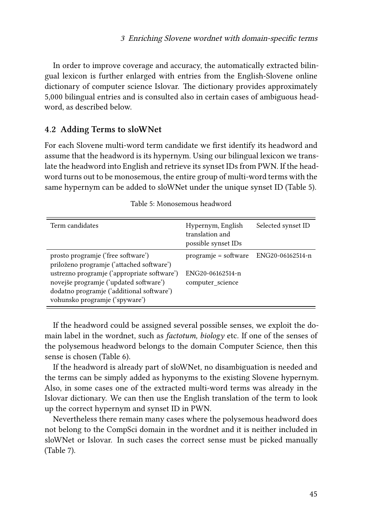In order to improve coverage and accuracy, the automatically extracted bilingual lexicon is further enlarged with entries from the English-Slovene online dictionary of computer science Islovar. The dictionary provides approximately 5,000 bilingual entries and is consulted also in certain cases of ambiguous headword, as described below.

#### **4.2 Adding Terms to sloWNet**

For each Slovene multi-word term candidate we first identify its headword and assume that the headword is its hypernym. Using our bilingual lexicon we translate the headword into English and retrieve its synset IDs from PWN. If the headword turns out to be monosemous, the entire group of multi-word terms with the same hypernym can be added to sloWNet under the unique synset ID (Table [5\)](#page-10-0).

<span id="page-10-0"></span>

| Term candidates                                                                 | Hypernym, English<br>translation and<br>possible synset IDs | Selected synset ID |
|---------------------------------------------------------------------------------|-------------------------------------------------------------|--------------------|
| prosto programje ('free software')<br>priloženo programje ('attached software') | programje = software                                        | ENG20-06162514-n   |
| ustrezno programje ('appropriate software')                                     | ENG20-06162514-n                                            |                    |
| novejše programje ('updated software')                                          | computer science                                            |                    |
| dodatno programje ('additional software')<br>vohunsko programje ('spyware')     |                                                             |                    |

|  | Table 5: Monosemous headword |  |
|--|------------------------------|--|
|--|------------------------------|--|

If the headword could be assigned several possible senses, we exploit the domain label in the wordnet, such as *factotum, biology* etc. If one of the senses of the polysemous headword belongs to the domain Computer Science, then this sense is chosen (Table [6\)](#page-11-1).

If the headword is already part of sloWNet, no disambiguation is needed and the terms can be simply added as hyponyms to the existing Slovene hypernym. Also, in some cases one of the extracted multi-word terms was already in the Islovar dictionary. We can then use the English translation of the term to look up the correct hypernym and synset ID in PWN.

Nevertheless there remain many cases where the polysemous headword does not belong to the CompSci domain in the wordnet and it is neither included in sloWNet or Islovar. In such cases the correct sense must be picked manually (Table [7\)](#page-11-2).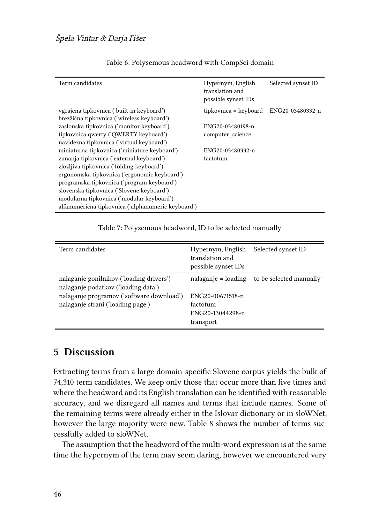<span id="page-11-1"></span>

| Term candidates                                    | Hypernym, English<br>translation and<br>possible synset IDs | Selected synset ID |
|----------------------------------------------------|-------------------------------------------------------------|--------------------|
| vgrajena tipkovnica ('built-in keyboard')          | tipkovnica = keyboard                                       | ENG20-03480332-n   |
| brezžična tipkovnica ('wireless keyboard')         |                                                             |                    |
| zaslonska tipkovnica ('monitor keyboard')          | ENG20-03480198-n                                            |                    |
| tipkovnica qwerty ('QWERTY keyboard')              | computer science                                            |                    |
| navidezna tipkovnica ('virtual keyboard')          |                                                             |                    |
| miniaturna tipkovnica ('miniature keyboard')       | ENG20-03480332-n                                            |                    |
| zunanja tipkovnica ('external keyboard')           | factotum                                                    |                    |
| zložljiva tipkovnica ('folding keyboard')          |                                                             |                    |
| ergonomska tipkovnica ('ergonomic keyboard')       |                                                             |                    |
| programska tipkovnica ('program keyboard')         |                                                             |                    |
| slovenska tipkovnica ('Slovene keyboard')          |                                                             |                    |
| modularna tipkovnica ('modular keyboard')          |                                                             |                    |
| alfanumerična tipkovnica ('alphanumeric keyboard') |                                                             |                    |

#### Table 6: Polysemous headword with CompSci domain

Table 7: Polysemous headword, ID to be selected manually

<span id="page-11-2"></span>

| Term candidates                                                                                                                                                   | Hypernym, English<br>translation and<br>possible synset IDs   | Selected synset ID                              |
|-------------------------------------------------------------------------------------------------------------------------------------------------------------------|---------------------------------------------------------------|-------------------------------------------------|
| nalaganje gonilnikov ('loading drivers')<br>nalaganje podatkov ('loading data')<br>nalaganje programov ('software download')<br>nalaganje strani ('loading page') | ENG20-00671518-n<br>factotum<br>ENG20-13044298-n<br>transport | $n$ nalaganje = loading to be selected manually |

### <span id="page-11-0"></span>**5 Discussion**

Extracting terms from a large domain-specific Slovene corpus yields the bulk of 74,310 term candidates. We keep only those that occur more than five times and where the headword and its English translation can be identified with reasonable accuracy, and we disregard all names and terms that include names. Some of the remaining terms were already either in the Islovar dictionary or in sloWNet, however the large majority were new. Table [8](#page-12-0) shows the number of terms successfully added to sloWNet.

The assumption that the headword of the multi-word expression is at the same time the hypernym of the term may seem daring, however we encountered very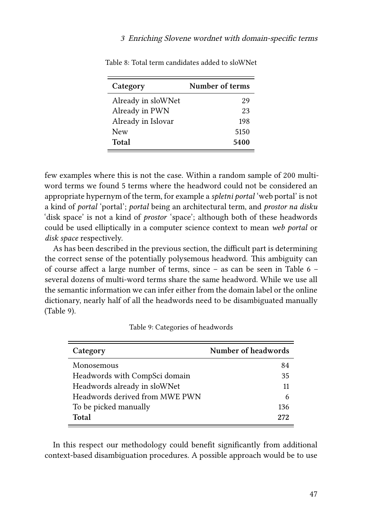| Category           | Number of terms |
|--------------------|-----------------|
| Already in sloWNet | 29              |
| Already in PWN     | 23              |
| Already in Islovar | 198             |
| New                | 5150            |
| Total              | 5400            |

<span id="page-12-0"></span>Table 8: Total term candidates added to sloWNet

few examples where this is not the case. Within a random sample of 200 multiword terms we found 5 terms where the headword could not be considered an appropriate hypernym of the term, for example a *spletni portal* 'web portal' is not a kind of *portal* 'portal'; *portal* being an architectural term, and *prostor na disku* 'disk space' is not a kind of *prostor* 'space'; although both of these headwords could be used elliptically in a computer science context to mean *web portal* or *disk space* respectively.

As has been described in the previous section, the difficult part is determining the correct sense of the potentially polysemous headword. This ambiguity can of course affect a large number of terms, since – as can be seen in Table [6](#page-11-1) – several dozens of multi-word terms share the same headword. While we use all the semantic information we can infer either from the domain label or the online dictionary, nearly half of all the headwords need to be disambiguated manually (Table [9](#page-12-1)).

<span id="page-12-1"></span>

| Category                       | Number of headwords |
|--------------------------------|---------------------|
| Monosemous                     | 84                  |
| Headwords with CompSci domain  | 35                  |
| Headwords already in sloWNet   | 11                  |
| Headwords derived from MWE PWN | 6                   |
| To be picked manually          | 136                 |
| Total                          | 272                 |

Table 9: Categories of headwords

In this respect our methodology could benefit significantly from additional context-based disambiguation procedures. A possible approach would be to use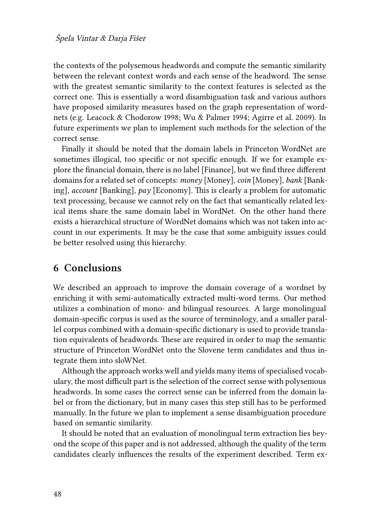the contexts of the polysemous headwords and compute the semantic similarity between the relevant context words and each sense of the headword. The sense with the greatest semantic similarity to the context features is selected as the correct one. This is essentially a word disambiguation task and various authors have proposed similarity measures based on the graph representation of wordnets (e.g. [Leacock & Chodorow 1998](#page-16-12); [Wu & Palmer 1994;](#page-17-6) [Agirre et al. 2009](#page-14-3)). In future experiments we plan to implement such methods for the selection of the correct sense.

Finally it should be noted that the domain labels in Princeton WordNet are sometimes illogical, too specific or not specific enough. If we for example explore the financial domain, there is no label [Finance], but we find three different domains for a related set of concepts: *money* [Money], *coin* [Money], *bank* [Banking], *account* [Banking], *pay* [Economy]. This is clearly a problem for automatic text processing, because we cannot rely on the fact that semantically related lexical items share the same domain label in WordNet. On the other hand there exists a hierarchical structure of WordNet domains which was not taken into account in our experiments. It may be the case that some ambiguity issues could be better resolved using this hierarchy.

#### **6 Conclusions**

We described an approach to improve the domain coverage of a wordnet by enriching it with semi-automatically extracted multi-word terms. Our method utilizes a combination of mono- and bilingual resources. A large monolingual domain-specific corpus is used as the source of terminology, and a smaller parallel corpus combined with a domain-specific dictionary is used to provide translation equivalents of headwords. These are required in order to map the semantic structure of Princeton WordNet onto the Slovene term candidates and thus integrate them into sloWNet.

Although the approach works well and yields many items of specialised vocabulary, the most difficult part is the selection of the correct sense with polysemous headwords. In some cases the correct sense can be inferred from the domain label or from the dictionary, but in many cases this step still has to be performed manually. In the future we plan to implement a sense disambiguation procedure based on semantic similarity.

It should be noted that an evaluation of monolingual term extraction lies beyond the scope of this paper and is not addressed, although the quality of the term candidates clearly influences the results of the experiment described. Term ex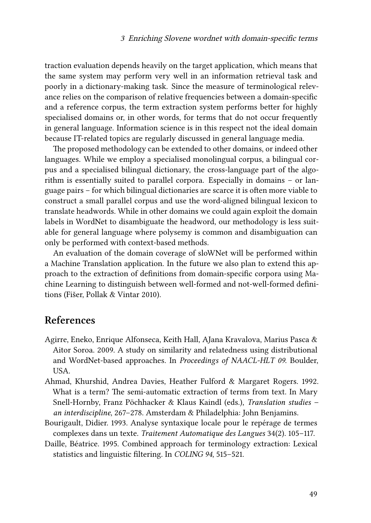traction evaluation depends heavily on the target application, which means that the same system may perform very well in an information retrieval task and poorly in a dictionary-making task. Since the measure of terminological relevance relies on the comparison of relative frequencies between a domain-specific and a reference corpus, the term extraction system performs better for highly specialised domains or, in other words, for terms that do not occur frequently in general language. Information science is in this respect not the ideal domain because IT-related topics are regularly discussed in general language media.

The proposed methodology can be extended to other domains, or indeed other languages. While we employ a specialised monolingual corpus, a bilingual corpus and a specialised bilingual dictionary, the cross-language part of the algorithm is essentially suited to parallel corpora. Especially in domains – or language pairs – for which bilingual dictionaries are scarce it is often more viable to construct a small parallel corpus and use the word-aligned bilingual lexicon to translate headwords. While in other domains we could again exploit the domain labels in WordNet to disambiguate the headword, our methodology is less suitable for general language where polysemy is common and disambiguation can only be performed with context-based methods.

An evaluation of the domain coverage of sloWNet will be performed within a Machine Translation application. In the future we also plan to extend this approach to the extraction of definitions from domain-specific corpora using Machine Learning to distinguish between well-formed and not-well-formed definitions [\(Fišer, Pollak & Vintar 2010\)](#page-15-11).

### **References**

- <span id="page-14-3"></span>Agirre, Eneko, Enrique Alfonseca, Keith Hall, AJana Kravalova, Marius Pasca & Aitor Soroa. 2009. A study on similarity and relatedness using distributional and WordNet-based approaches. In *Proceedings of NAACL-HLT 09*. Boulder, USA.
- <span id="page-14-2"></span>Ahmad, Khurshid, Andrea Davies, Heather Fulford & Margaret Rogers. 1992. What is a term? The semi-automatic extraction of terms from text. In Mary Snell-Hornby, Franz Pöchhacker & Klaus Kaindl (eds.), *Translation studies – an interdiscipline*, 267–278. Amsterdam & Philadelphia: John Benjamins.
- <span id="page-14-0"></span>Bourigault, Didier. 1993. Analyse syntaxique locale pour le repérage de termes complexes dans un texte. *Traitement Automatique des Langues* 34(2). 105–117.
- <span id="page-14-1"></span>Daille, Béatrice. 1995. Combined approach for terminology extraction: Lexical statistics and linguistic filtering. In *COLING 94*, 515–521.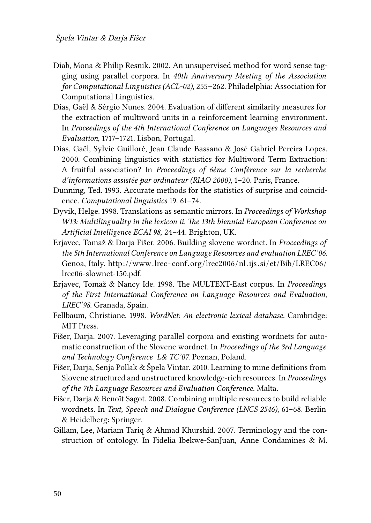- <span id="page-15-6"></span>Diab, Mona & Philip Resnik. 2002. An unsupervised method for word sense tagging using parallel corpora. In *40th Anniversary Meeting of the Association for Computational Linguistics (ACL-02)*, 255–262. Philadelphia: Association for Computational Linguistics.
- <span id="page-15-7"></span>Dias, Gaël & Sérgio Nunes. 2004. Evaluation of different similarity measures for the extraction of multiword units in a reinforcement learning environment. In *Proceedings of the 4th International Conference on Languages Resources and Evaluation*, 1717–1721. Lisbon, Portugal.
- <span id="page-15-9"></span>Dias, Gaël, Sylvie Guilloré, Jean Claude Bassano & José Gabriel Pereira Lopes. 2000. Combining linguistics with statistics for Multiword Term Extraction: A fruitful association? In *Proceedings of 6ème Conférence sur la recherche d'informations assistée par ordinateur (RIAO 2000)*, 1–20. Paris, France.
- <span id="page-15-8"></span>Dunning, Ted. 1993. Accurate methods for the statistics of surprise and coincidence. *Computational linguistics* 19. 61–74.
- <span id="page-15-5"></span>Dyvik, Helge. 1998. Translations as semantic mirrors. In *Proceedings of Workshop W13: Multilinguality in the lexicon ii. The 13th biennial European Conference on Artificial Intelligence ECAI 98*, 24–44. Brighton, UK.
- <span id="page-15-1"></span>Erjavec, Tomaž & Darja Fišer. 2006. Building slovene wordnet. In *Proceedings of the 5th International Conference on Language Resources and evaluation LREC'06*. Genoa, Italy. http://www.lrec-conf.org/lrec2006/nl.ijs.si/et/Bib/LREC06/ [lrec06-slownet-150.pdf.](http://www.lrec-conf.org/lrec2006/nl.ijs.si/et/Bib/LREC06/lrec06-slownet-150.pdf)
- <span id="page-15-4"></span>Erjavec, Tomaž & Nancy Ide. 1998. The MULTEXT-East corpus. In *Proceedings of the First International Conference on Language Resources and Evaluation, LREC'98*. Granada, Spain.
- <span id="page-15-0"></span>Fellbaum, Christiane. 1998. *WordNet: An electronic lexical database*. Cambridge: MIT Press.
- <span id="page-15-2"></span>Fišer, Darja. 2007. Leveraging parallel corpora and existing wordnets for automatic construction of the Slovene wordnet. In *Proceedings of the 3rd Language and Technology Conference L& TC'07*. Poznan, Poland.
- <span id="page-15-11"></span>Fišer, Darja, Senja Pollak & Špela Vintar. 2010. Learning to mine definitions from Slovene structured and unstructured knowledge-rich resources. In *Proceedings of the 7th Language Resources and Evaluation Conference*. Malta.
- <span id="page-15-3"></span>Fišer, Darja & Benoît Sagot. 2008. Combining multiple resources to build reliable wordnets. In *Text, Speech and Dialogue Conference (LNCS 2546)*, 61–68. Berlin & Heidelberg: Springer.
- <span id="page-15-10"></span>Gillam, Lee, Mariam Tariq & Ahmad Khurshid. 2007. Terminology and the construction of ontology. In Fidelia Ibekwe-SanJuan, Anne Condamines & M.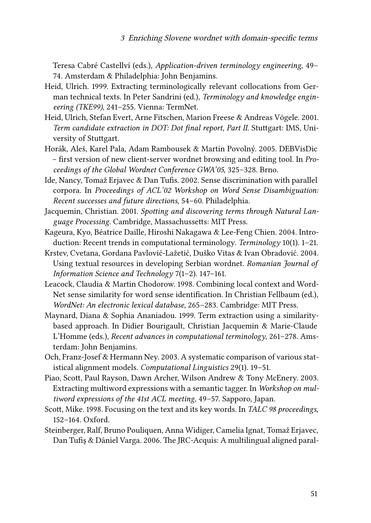Teresa Cabré Castellví (eds.), *Application-driven terminology engineering*, 49– 74. Amsterdam & Philadelphia: John Benjamins.

- <span id="page-16-5"></span>Heid, Ulrich. 1999. Extracting terminologically relevant collocations from German technical texts. In Peter Sandrini (ed.), *Terminology and knowledge engineering (TKE99)*, 241–255. Vienna: TermNet.
- <span id="page-16-10"></span>Heid, Ulrich, Stefan Evert, Arne Fitschen, Marion Freese & Andreas Vögele. 2001. *Term candidate extraction in DOT: Dot final report, Part II*. Stuttgart: IMS, University of Stuttgart.
- <span id="page-16-3"></span>Horák, Aleš, Karel Pala, Adam Rambousek & Martin Povolný. 2005. DEBVisDic – first version of new client-server wordnet browsing and editing tool. In *Proceedings of the Global Wordnet Conference GWA'05*, 325–328. Brno.
- <span id="page-16-2"></span>Ide, Nancy, Tomaž Erjavec & Dan Tufis. 2002. Sense discrimination with parallel corpora. In *Proceedings of ACL'02 Workshop on Word Sense Disambiguation: Recent successes and future directions*, 54–60. Philadelphia.
- <span id="page-16-7"></span>Jacquemin, Christian. 2001. *Spotting and discovering terms through Natural Language Processing*. Cambridge, Massachussetts: MIT Press.
- <span id="page-16-8"></span>Kageura, Kyo, Béatrice Daille, Hiroshi Nakagawa & Lee-Feng Chien. 2004. Introduction: Recent trends in computational terminology. *Terminology* 10(1). 1–21.
- <span id="page-16-0"></span>Krstev, Cvetana, Gordana Pavlović-Lažetić, Duško Vitas & Ivan Obradović. 2004. Using textual resources in developing Serbian wordnet. *Romanian Journal of Information Science and Technology* 7(1–2). 147–161.
- <span id="page-16-12"></span>Leacock, Claudia & Martin Chodorow. 1998. Combining local context and Word-Net sense similarity for word sense identification. In Christian Fellbaum (ed.), *WordNet: An electronic lexical database*, 265–283. Cambridge: MIT Press.
- <span id="page-16-6"></span>Maynard, Diana & Sophia Ananiadou. 1999. Term extraction using a similaritybased approach. In Didier Bourigault, Christian Jacquemin & Marie-Claude L'Homme (eds.), *Recent advances in computational terminology*, 261–278. Amsterdam: John Benjamins.
- <span id="page-16-11"></span>Och, Franz-Josef & Hermann Ney. 2003. A systematic comparison of various statistical alignment models. *Computational Linguistics* 29(1). 19–51.
- <span id="page-16-4"></span>Piao, Scott, Paul Rayson, Dawn Archer, Wilson Andrew & Tony McEnery. 2003. Extracting multiword expressions with a semantic tagger. In *Workshop on multiword expressions of the 41st ACL meeting*, 49–57. Sapporo, Japan.
- <span id="page-16-9"></span>Scott, Mike. 1998. Focusing on the text and its key words. In *TALC 98 proceedings*, 152–164. Oxford.
- <span id="page-16-1"></span>Steinberger, Ralf, Bruno Pouliquen, Anna Widiger, Camelia Ignat, Tomaž Erjavec, Dan Tufiş & Dániel Varga. 2006. The JRC-Acquis: A multilingual aligned paral-